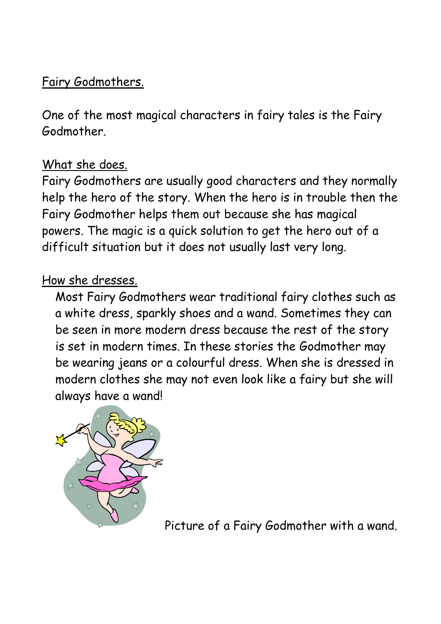### Fairy Godmothers.

One of the most magical characters in fairy tales is the Fairy Godmother.

### What she does.

Fairy Godmothers are usually good characters and they normally help the hero of the story. When the hero is in trouble then the Fairy Godmother helps them out because she has magical powers. The magic is a quick solution to get the hero out of a difficult situation but it does not usually last very long.

#### How she dresses.

Most Fairy Godmothers wear traditional fairy clothes such as a white dress, sparkly shoes and a wand. Sometimes they can be seen in more modern dress because the rest of the story is set in modern times. In these stories the Godmother may be wearing jeans or a colourful dress. When she is dressed in modern clothes she may not even look like a fairy but she will always have a wand!



Picture of a Fairy Godmother with a wand.